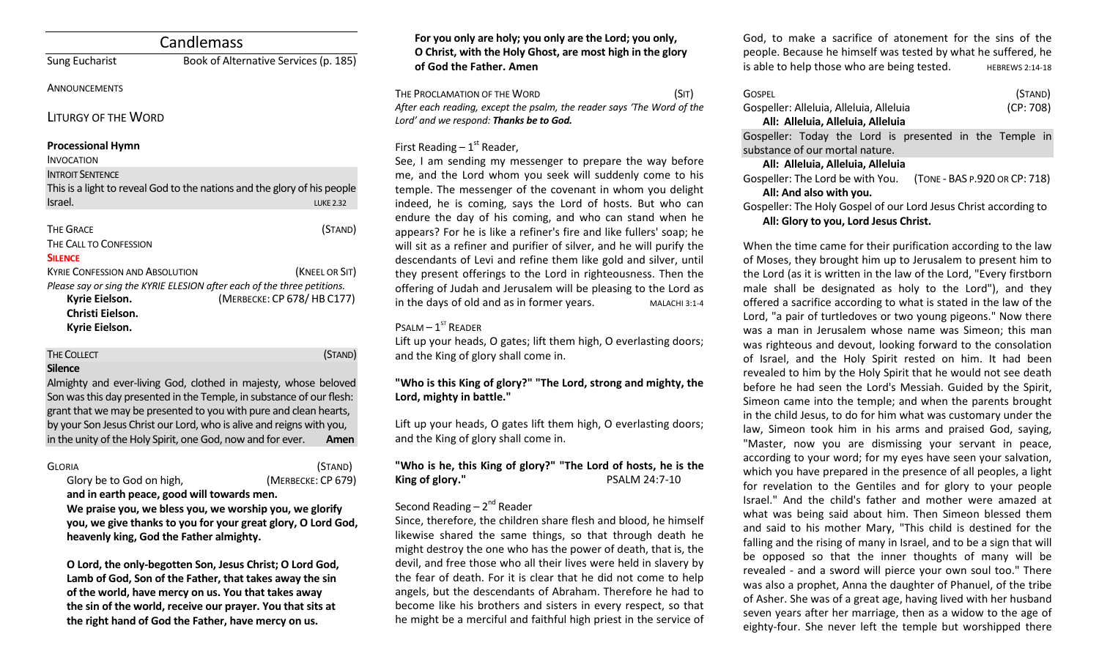| Candlemass                                                                                     |                                                                                                                         |  |  |  |
|------------------------------------------------------------------------------------------------|-------------------------------------------------------------------------------------------------------------------------|--|--|--|
| <b>Sung Eucharist</b>                                                                          | Book of Alternative Services (p. 185)                                                                                   |  |  |  |
| <b>ANNOUNCEMENTS</b>                                                                           |                                                                                                                         |  |  |  |
| LITURGY OF THE WORD                                                                            |                                                                                                                         |  |  |  |
| <b>Processional Hymn</b><br><b>INVOCATION</b>                                                  |                                                                                                                         |  |  |  |
| <b>INTROIT SENTENCE</b><br>Israel.                                                             | This is a light to reveal God to the nations and the glory of his people<br><b>LUKE 2.32</b>                            |  |  |  |
| <b>THE GRACE</b><br>THE CALL TO CONFESSION<br><b>SILENCE</b>                                   | (STAND)                                                                                                                 |  |  |  |
| <b>KYRIF CONFESSION AND ABSOLUTION</b><br>Kyrie Eielson.<br>Christi Eielson.<br>Kyrie Eielson. | (KNEEL OR SIT)<br>Please say or sing the KYRIE ELESION after each of the three petitions.<br>(MERBECKE: CP 678/HB C177) |  |  |  |
| <b>THE COLLECT</b>                                                                             | (Stand                                                                                                                  |  |  |  |

### **Silence**

Almighty and ever-living God, clothed in majesty, whose beloved Son was this day presented in the Temple, in substance of our flesh: grant that we may be presented to you with pure and clean hearts, by your Son Jesus Christ our Lord, who is alive and reigns with you, in the unity of the Holy Spirit, one God, now and for ever. **Amen**

## GLORIA (STAND)

Glory be to God on high, *(MERBECKE: CP 679)* 

**and in earth peace, good will towards men. We praise you, we bless you, we worship you, we glorify you, we give thanks to you for your great glory, O Lord God, heavenly king, God the Father almighty.** 

**O Lord, the only-begotten Son, Jesus Christ; O Lord God, Lamb of God, Son of the Father, that takes away the sin of the world, have mercy on us. You that takes away the sin of the world, receive our prayer. You that sits at the right hand of God the Father, have mercy on us.** 

**For you only are holy; you only are the Lord; you only, O Christ, with the Holy Ghost, are most high in the glory of God the Father. Amen**

THE PROCLAMATION OF THE WORD (SIT) *After each reading, except the psalm, the reader says 'The Word of the Lord' and we respond: Thanks be to God.* 

# First Reading  $-1<sup>st</sup>$  Reader,

See, I am sending my messenger to prepare the way before me, and the Lord whom you seek will suddenly come to his temple. The messenger of the covenant in whom you delight indeed, he is coming, says the Lord of hosts. But who can endure the day of his coming, and who can stand when he appears? For he is like a refiner's fire and like fullers' soap; he will sit as a refiner and purifier of silver, and he will purify the descendants of Levi and refine them like gold and silver, until they present offerings to the Lord in righteousness. Then the offering of Judah and Jerusalem will be pleasing to the Lord as in the days of old and as in former years. MALACHI 3:1-4

# $P$ SALM  $-1$ <sup>ST</sup> READER

Lift up your heads, O gates; lift them high, O everlasting doors; and the King of glory shall come in.

## **"Who is this King of glory?" "The Lord, strong and mighty, the Lord, mighty in battle."**

Lift up your heads, O gates lift them high, O everlasting doors; and the King of glory shall come in.

# **"Who is he, this King of glory?" "The Lord of hosts, he is the King of glory."** PSALM 24:7-10

# Second Reading – 2<sup>nd</sup> Reader

Since, therefore, the children share flesh and blood, he himself likewise shared the same things, so that through death he might destroy the one who has the power of death, that is, the devil, and free those who all their lives were held in slavery by the fear of death. For it is clear that he did not come to help angels, but the descendants of Abraham. Therefore he had to become like his brothers and sisters in every respect, so that he might be a merciful and faithful high priest in the service of

God, to make a sacrifice of atonement for the sins of the people. Because he himself was tested by what he suffered, he is able to help those who are being tested. HEBREWS 2:14-18

|                                   | <b>GOSPEL</b>                                                     | (STAND)   |  |  |  |
|-----------------------------------|-------------------------------------------------------------------|-----------|--|--|--|
|                                   | Gospeller: Alleluia, Alleluia, Alleluia                           | (CP: 708) |  |  |  |
|                                   | All: Alleluia, Alleluia, Alleluia                                 |           |  |  |  |
|                                   | Gospeller: Today the Lord is presented in the Temple in           |           |  |  |  |
|                                   | substance of our mortal nature.                                   |           |  |  |  |
| All: Alleluia, Alleluia, Alleluia |                                                                   |           |  |  |  |
|                                   | (TONE - BAS P.920 OR CP: 718)<br>Gospeller: The Lord be with You. |           |  |  |  |
|                                   | All: And also with you.                                           |           |  |  |  |

Gospeller: The Holy Gospel of our Lord Jesus Christ according to **All: Glory to you, Lord Jesus Christ.**

When the time came for their purification according to the law of Moses, they brought him up to Jerusalem to present him to the Lord (as it is written in the law of the Lord, "Every firstborn male shall be designated as holy to the Lord"), and they offered a sacrifice according to what is stated in the law of the Lord, "a pair of turtledoves or two young pigeons." Now there was a man in Jerusalem whose name was Simeon; this man was righteous and devout, looking forward to the consolation of Israel, and the Holy Spirit rested on him. It had been revealed to him by the Holy Spirit that he would not see death before he had seen the Lord's Messiah. Guided by the Spirit, Simeon came into the temple; and when the parents brought in the child Jesus, to do for him what was customary under the law, Simeon took him in his arms and praised God, saying, "Master, now you are dismissing your servant in peace, according to your word; for my eyes have seen your salvation, which you have prepared in the presence of all peoples, a light for revelation to the Gentiles and for glory to your people Israel." And the child's father and mother were amazed at what was being said about him. Then Simeon blessed them and said to his mother Mary, "This child is destined for the falling and the rising of many in Israel, and to be a sign that will be opposed so that the inner thoughts of many will be revealed - and a sword will pierce your own soul too." There was also a prophet, Anna the daughter of Phanuel, of the tribe of Asher. She was of a great age, having lived with her husband seven years after her marriage, then as a widow to the age of eighty-four. She never left the temple but worshipped there